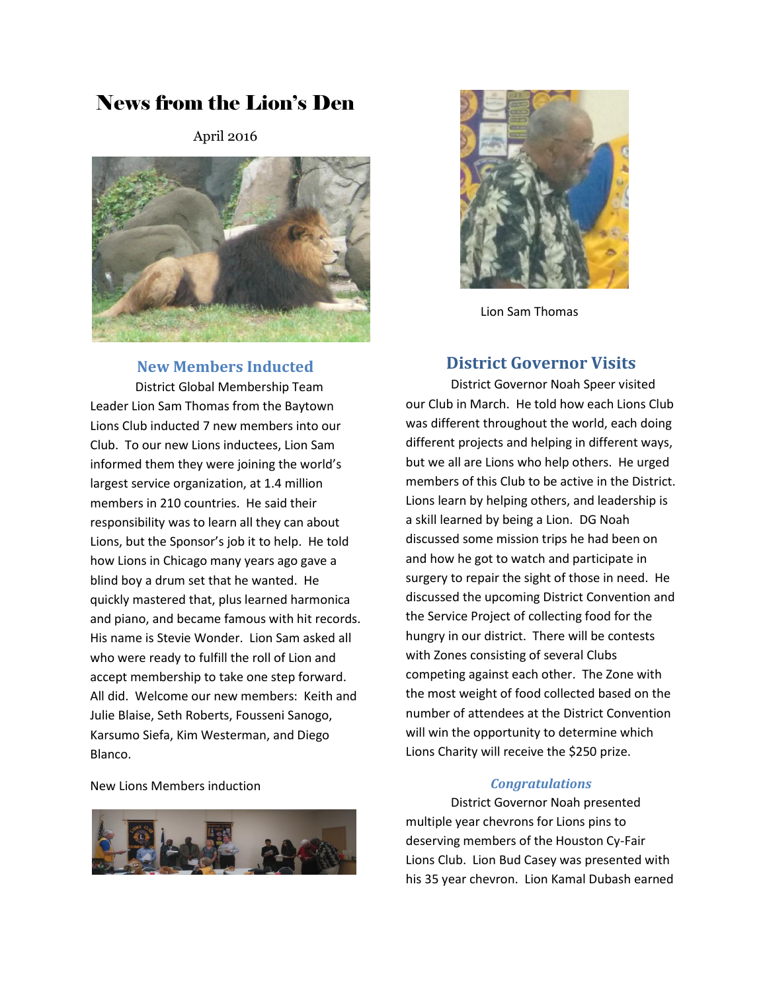# News from the Lion's Den

April 2016



### **New Members Inducted**

District Global Membership Team Leader Lion Sam Thomas from the Baytown Lions Club inducted 7 new members into our Club. To our new Lions inductees, Lion Sam informed them they were joining the world's largest service organization, at 1.4 million members in 210 countries. He said their responsibility was to learn all they can about Lions, but the Sponsor's job it to help. He told how Lions in Chicago many years ago gave a blind boy a drum set that he wanted. He quickly mastered that, plus learned harmonica and piano, and became famous with hit records. His name is Stevie Wonder. Lion Sam asked all who were ready to fulfill the roll of Lion and accept membership to take one step forward. All did. Welcome our new members: Keith and Julie Blaise, Seth Roberts, Fousseni Sanogo, Karsumo Siefa, Kim Westerman, and Diego Blanco.

#### New Lions Members induction





Lion Sam Thomas

### **District Governor Visits**

District Governor Noah Speer visited our Club in March. He told how each Lions Club was different throughout the world, each doing different projects and helping in different ways, but we all are Lions who help others. He urged members of this Club to be active in the District. Lions learn by helping others, and leadership is a skill learned by being a Lion. DG Noah discussed some mission trips he had been on and how he got to watch and participate in surgery to repair the sight of those in need. He discussed the upcoming District Convention and the Service Project of collecting food for the hungry in our district. There will be contests with Zones consisting of several Clubs competing against each other. The Zone with the most weight of food collected based on the number of attendees at the District Convention will win the opportunity to determine which Lions Charity will receive the \$250 prize.

#### *Congratulations*

District Governor Noah presented multiple year chevrons for Lions pins to deserving members of the Houston Cy-Fair Lions Club. Lion Bud Casey was presented with his 35 year chevron. Lion Kamal Dubash earned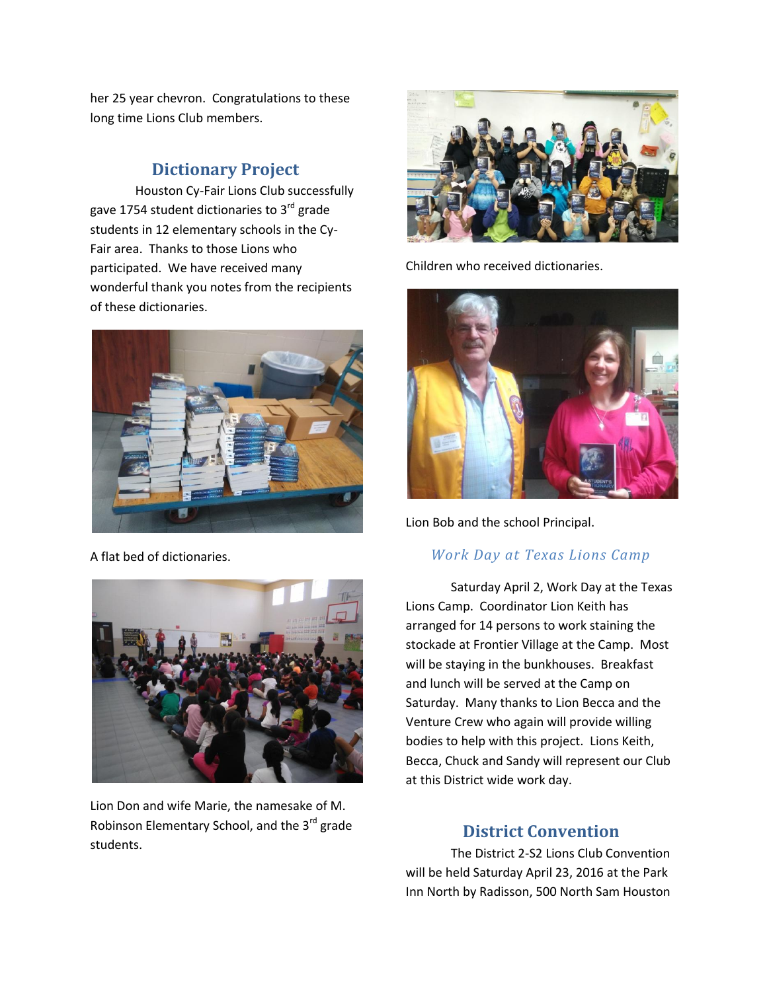her 25 year chevron. Congratulations to these long time Lions Club members.

# **Dictionary Project**

Houston Cy-Fair Lions Club successfully gave 1754 student dictionaries to  $3<sup>rd</sup>$  grade students in 12 elementary schools in the Cy-Fair area. Thanks to those Lions who participated. We have received many wonderful thank you notes from the recipients of these dictionaries.



A flat bed of dictionaries.



Lion Don and wife Marie, the namesake of M. Robinson Elementary School, and the 3<sup>rd</sup> grade students.



Children who received dictionaries.



Lion Bob and the school Principal.

### *Work Day at Texas Lions Camp*

Saturday April 2, Work Day at the Texas Lions Camp. Coordinator Lion Keith has arranged for 14 persons to work staining the stockade at Frontier Village at the Camp. Most will be staying in the bunkhouses. Breakfast and lunch will be served at the Camp on Saturday. Many thanks to Lion Becca and the Venture Crew who again will provide willing bodies to help with this project. Lions Keith, Becca, Chuck and Sandy will represent our Club at this District wide work day.

# **District Convention**

The District 2-S2 Lions Club Convention will be held Saturday April 23, 2016 at the Park Inn North by Radisson, 500 North Sam Houston